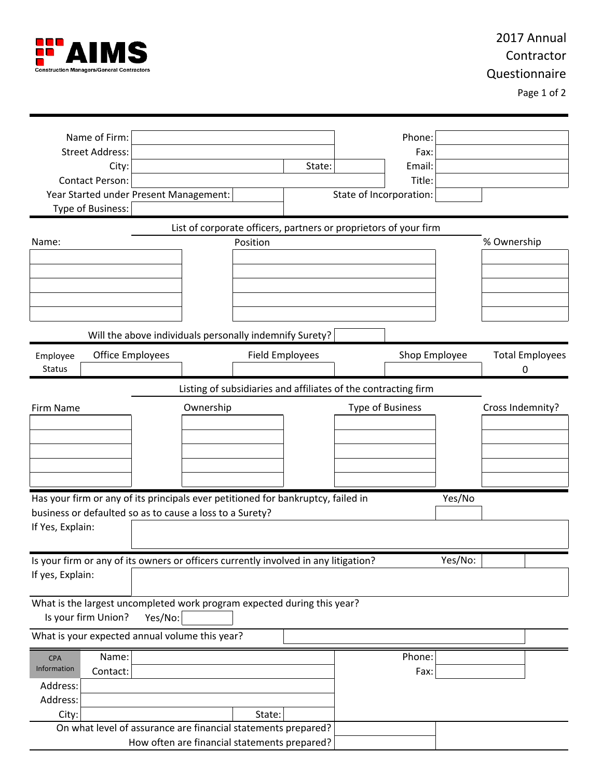

# 2017 Annual Contractor Questionnaire

Page 1 of 2

| Name of Firm:                                                                       |                                                                  |                        |        |                         | Phone:        |         |                  |                        |
|-------------------------------------------------------------------------------------|------------------------------------------------------------------|------------------------|--------|-------------------------|---------------|---------|------------------|------------------------|
| <b>Street Address:</b>                                                              |                                                                  |                        |        |                         | Fax:          |         |                  |                        |
| City:                                                                               |                                                                  |                        | State: |                         | Email:        |         |                  |                        |
| Contact Person:                                                                     |                                                                  |                        |        |                         | Title:        |         |                  |                        |
|                                                                                     | Year Started under Present Management:                           |                        |        | State of Incorporation: |               |         |                  |                        |
| Type of Business:                                                                   |                                                                  |                        |        |                         |               |         |                  |                        |
|                                                                                     | List of corporate officers, partners or proprietors of your firm |                        |        |                         |               |         |                  |                        |
| Name:                                                                               |                                                                  | Position               |        |                         |               |         | % Ownership      |                        |
|                                                                                     |                                                                  |                        |        |                         |               |         |                  |                        |
|                                                                                     |                                                                  |                        |        |                         |               |         |                  |                        |
|                                                                                     |                                                                  |                        |        |                         |               |         |                  |                        |
|                                                                                     |                                                                  |                        |        |                         |               |         |                  |                        |
|                                                                                     |                                                                  |                        |        |                         |               |         |                  |                        |
|                                                                                     |                                                                  |                        |        |                         |               |         |                  |                        |
|                                                                                     | Will the above individuals personally indemnify Surety?          |                        |        |                         |               |         |                  |                        |
| <b>Office Employees</b><br>Employee                                                 |                                                                  | <b>Field Employees</b> |        |                         | Shop Employee |         |                  | <b>Total Employees</b> |
| <b>Status</b>                                                                       |                                                                  |                        |        |                         |               |         | 0                |                        |
|                                                                                     |                                                                  |                        |        |                         |               |         |                  |                        |
|                                                                                     | Listing of subsidiaries and affiliates of the contracting firm   |                        |        |                         |               |         |                  |                        |
| Firm Name                                                                           | Ownership                                                        |                        |        | <b>Type of Business</b> |               |         | Cross Indemnity? |                        |
|                                                                                     |                                                                  |                        |        |                         |               |         |                  |                        |
|                                                                                     |                                                                  |                        |        |                         |               |         |                  |                        |
|                                                                                     |                                                                  |                        |        |                         |               |         |                  |                        |
|                                                                                     |                                                                  |                        |        |                         |               |         |                  |                        |
|                                                                                     |                                                                  |                        |        |                         |               |         |                  |                        |
|                                                                                     |                                                                  |                        |        |                         |               |         |                  |                        |
| Has your firm or any of its principals ever petitioned for bankruptcy, failed in    |                                                                  |                        |        |                         |               | Yes/No  |                  |                        |
| business or defaulted so as to cause a loss to a Surety?                            |                                                                  |                        |        |                         |               |         |                  |                        |
| If Yes, Explain:                                                                    |                                                                  |                        |        |                         |               |         |                  |                        |
|                                                                                     |                                                                  |                        |        |                         |               |         |                  |                        |
| Is your firm or any of its owners or officers currently involved in any litigation? |                                                                  |                        |        |                         |               | Yes/No: |                  |                        |
| If yes, Explain:                                                                    |                                                                  |                        |        |                         |               |         |                  |                        |
|                                                                                     |                                                                  |                        |        |                         |               |         |                  |                        |
| What is the largest uncompleted work program expected during this year?             |                                                                  |                        |        |                         |               |         |                  |                        |
| Is your firm Union?                                                                 | Yes/No:                                                          |                        |        |                         |               |         |                  |                        |
| What is your expected annual volume this year?                                      |                                                                  |                        |        |                         |               |         |                  |                        |
|                                                                                     |                                                                  |                        |        |                         |               |         |                  |                        |
| Name:<br><b>CPA</b>                                                                 |                                                                  |                        |        |                         | Phone:        |         |                  |                        |
| Information<br>Contact:                                                             |                                                                  |                        |        |                         | Fax:          |         |                  |                        |
| Address:                                                                            |                                                                  |                        |        |                         |               |         |                  |                        |
| Address:                                                                            |                                                                  |                        |        |                         |               |         |                  |                        |
| City:                                                                               |                                                                  | State:                 |        |                         |               |         |                  |                        |
|                                                                                     | On what level of assurance are financial statements prepared?    |                        |        |                         |               |         |                  |                        |
|                                                                                     | How often are financial statements prepared?                     |                        |        |                         |               |         |                  |                        |
|                                                                                     |                                                                  |                        |        |                         |               |         |                  |                        |